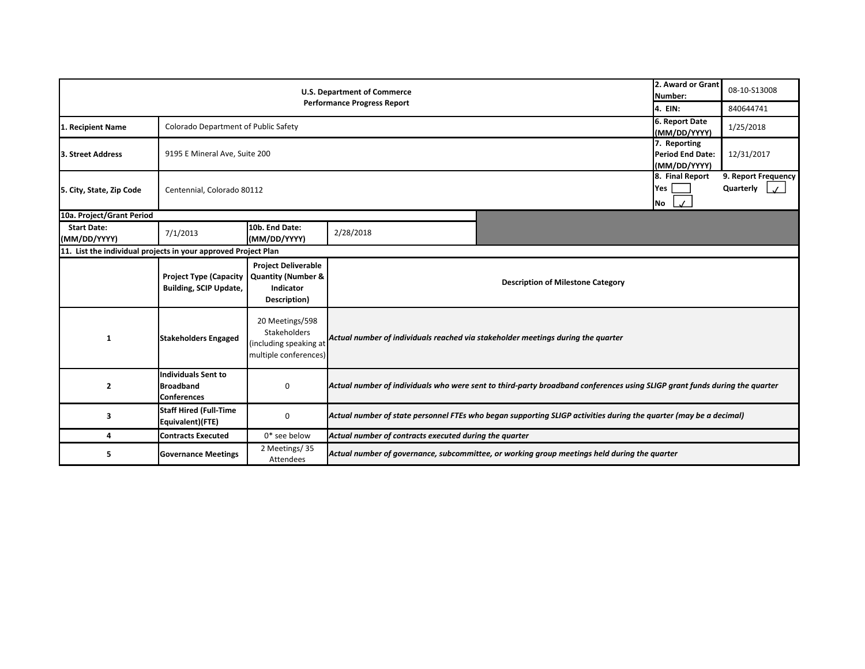|                                                                | 2. Award or Grant<br>Number:                                         | 08-10-S13008                                                                             |                                                                                                                   |                                                                                                                            |         |           |  |  |
|----------------------------------------------------------------|----------------------------------------------------------------------|------------------------------------------------------------------------------------------|-------------------------------------------------------------------------------------------------------------------|----------------------------------------------------------------------------------------------------------------------------|---------|-----------|--|--|
|                                                                |                                                                      |                                                                                          | <b>Performance Progress Report</b>                                                                                |                                                                                                                            | 4. EIN: | 840644741 |  |  |
| 1. Recipient Name                                              |                                                                      | 6. Report Date<br>Colorado Department of Public Safety<br>(MM/DD/YYYY)                   |                                                                                                                   |                                                                                                                            |         |           |  |  |
| 3. Street Address                                              |                                                                      | 7. Reporting<br>9195 E Mineral Ave, Suite 200<br><b>Period End Date:</b><br>(MM/DD/YYYY) |                                                                                                                   |                                                                                                                            |         |           |  |  |
| 5. City, State, Zip Code                                       |                                                                      | 8. Final Report<br>Yes<br>Centennial, Colorado 80112<br>No                               |                                                                                                                   |                                                                                                                            |         |           |  |  |
| 10a. Project/Grant Period                                      |                                                                      |                                                                                          |                                                                                                                   |                                                                                                                            |         |           |  |  |
| <b>Start Date:</b><br>(MM/DD/YYYY)                             | 7/1/2013                                                             | 10b. End Date:<br>(MM/DD/YYYY)                                                           | 2/28/2018                                                                                                         |                                                                                                                            |         |           |  |  |
| 11. List the individual projects in your approved Project Plan |                                                                      |                                                                                          |                                                                                                                   |                                                                                                                            |         |           |  |  |
|                                                                | <b>Project Type (Capacity</b><br><b>Building, SCIP Update,</b>       | <b>Project Deliverable</b><br><b>Quantity (Number &amp;</b><br>Indicator<br>Description) |                                                                                                                   | <b>Description of Milestone Category</b>                                                                                   |         |           |  |  |
| 1                                                              | <b>Stakeholders Engaged</b>                                          | 20 Meetings/598<br>Stakeholders<br>(including speaking at<br>multiple conferences)       |                                                                                                                   | Actual number of individuals reached via stakeholder meetings during the quarter                                           |         |           |  |  |
| $\overline{2}$                                                 | <b>Individuals Sent to</b><br><b>Broadband</b><br><b>Conferences</b> | $\Omega$                                                                                 |                                                                                                                   | Actual number of individuals who were sent to third-party broadband conferences using SLIGP grant funds during the quarter |         |           |  |  |
| 3                                                              | <b>Staff Hired (Full-Time</b><br>Equivalent)(FTE)                    | 0                                                                                        | Actual number of state personnel FTEs who began supporting SLIGP activities during the quarter (may be a decimal) |                                                                                                                            |         |           |  |  |
| 4                                                              | <b>Contracts Executed</b>                                            | $0*$ see below                                                                           | Actual number of contracts executed during the quarter                                                            |                                                                                                                            |         |           |  |  |
| 5                                                              | <b>Governance Meetings</b>                                           | 2 Meetings/35<br>Attendees                                                               |                                                                                                                   | Actual number of governance, subcommittee, or working group meetings held during the quarter                               |         |           |  |  |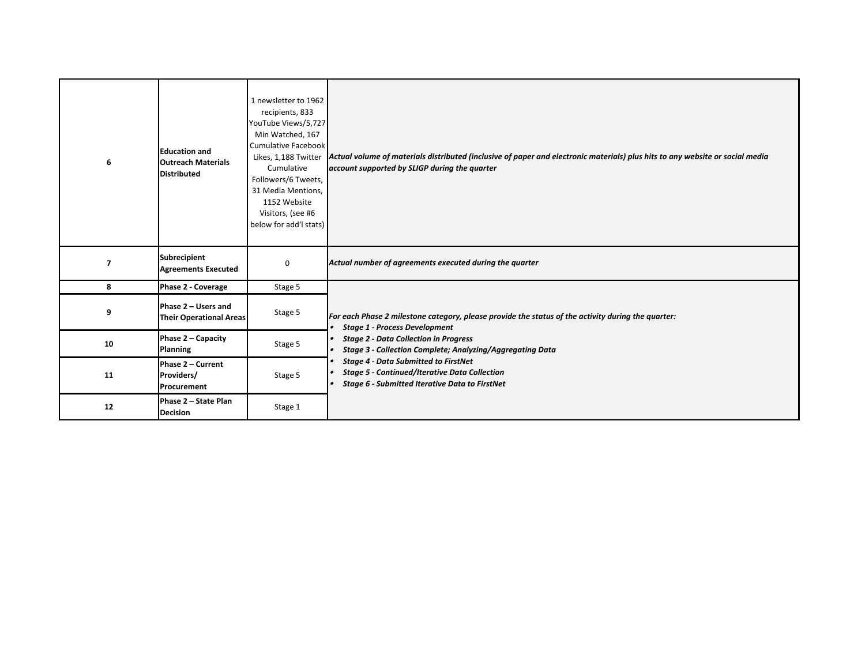| 6  | <b>Education and</b><br><b>Outreach Materials</b><br><b>Distributed</b> | 1 newsletter to 1962<br>recipients, 833<br>YouTube Views/5,727<br>Min Watched, 167<br>Cumulative Facebook<br>Likes, 1,188 Twitter<br>Cumulative<br>Followers/6 Tweets,<br>31 Media Mentions,<br>1152 Website<br>Visitors, (see #6<br>below for add'l stats) | Actual volume of materials distributed (inclusive of paper and electronic materials) plus hits to any website or social media<br>account supported by SLIGP during the quarter |
|----|-------------------------------------------------------------------------|-------------------------------------------------------------------------------------------------------------------------------------------------------------------------------------------------------------------------------------------------------------|--------------------------------------------------------------------------------------------------------------------------------------------------------------------------------|
| 7  | Subrecipient<br><b>Agreements Executed</b>                              | $\mathbf 0$                                                                                                                                                                                                                                                 | Actual number of agreements executed during the quarter                                                                                                                        |
| 8  | <b>Phase 2 - Coverage</b>                                               | Stage 5                                                                                                                                                                                                                                                     |                                                                                                                                                                                |
| 9  | Phase 2 - Users and<br><b>Their Operational Areas</b>                   | Stage 5                                                                                                                                                                                                                                                     | For each Phase 2 milestone category, please provide the status of the activity during the quarter:<br><b>Stage 1 - Process Development</b>                                     |
| 10 | Phase 2 - Capacity<br><b>Planning</b>                                   | Stage 5                                                                                                                                                                                                                                                     | <b>Stage 2 - Data Collection in Progress</b><br><b>Stage 3 - Collection Complete; Analyzing/Aggregating Data</b>                                                               |
| 11 | Phase 2 - Current<br>Providers/<br>Procurement                          | Stage 5                                                                                                                                                                                                                                                     | <b>Stage 4 - Data Submitted to FirstNet</b><br><b>Stage 5 - Continued/Iterative Data Collection</b><br>Stage 6 - Submitted Iterative Data to FirstNet                          |
| 12 | Phase 2 - State Plan<br><b>Decision</b>                                 | Stage 1                                                                                                                                                                                                                                                     |                                                                                                                                                                                |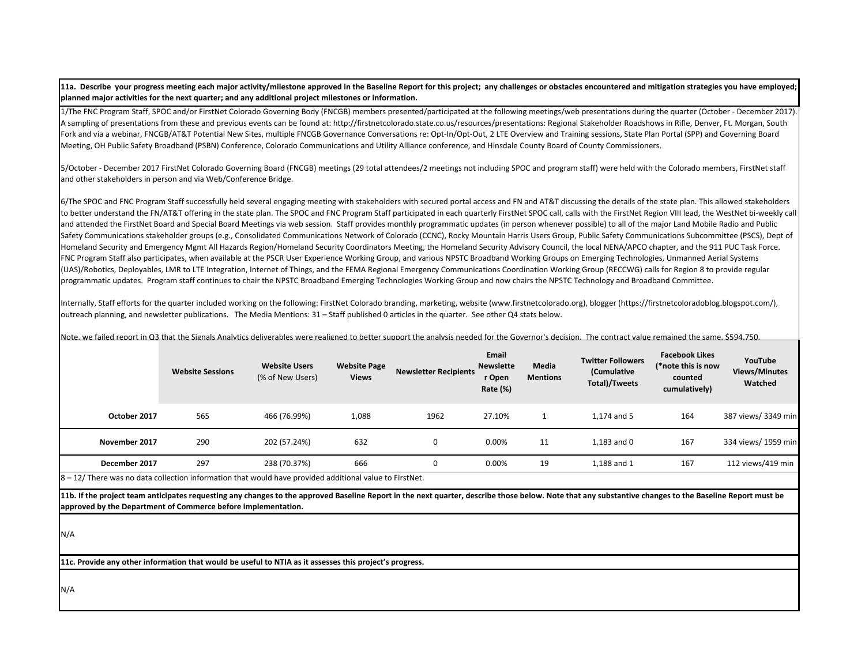**11a. Describe your progress meeting each major activity/milestone approved in the Baseline Report for this project; any challenges or obstacles encountered and mitigation strategies you have employed; planned major activities for the next quarter; and any additional project milestones or information.** 

1/The FNC Program Staff, SPOC and/or FirstNet Colorado Governing Body (FNCGB) members presented/participated at the following meetings/web presentations during the quarter (October ‐ December 2017). A sampling of presentations from these and previous events can be found at: http://firstnetcolorado.state.co.us/resources/presentations: Regional Stakeholder Roadshows in Rifle, Denver, Ft. Morgan, South Fork and via a webinar, FNCGB/AT&T Potential New Sites, multiple FNCGB Governance Conversations re: Opt-In/Opt-Out, 2 LTE Overview and Training sessions, State Plan Portal (SPP) and Governing Board Meeting, OH Public Safety Broadband (PSBN) Conference, Colorado Communications and Utility Alliance conference, and Hinsdale County Board of County Commissioners.

5/October ‐ December 2017 FirstNet Colorado Governing Board (FNCGB) meetings (29 total attendees/2 meetings not including SPOC and program staff) were held with the Colorado members, FirstNet staff and other stakeholders in person and via Web/Conference Bridge.

6/The SPOC and FNC Program Staff successfully held several engaging meeting with stakeholders with secured portal access and FN and AT&T discussing the details of the state plan. This allowed stakeholders to better understand the FN/AT&T offering in the state plan. The SPOC and FNC Program Staff participated in each quarterly FirstNet SPOC call, calls with the FirstNet Region VIII lead, the WestNet bi‐weekly call and attended the FirstNet Board and Special Board Meetings via web session. Staff provides monthly programmatic updates (in person whenever possible) to all of the major Land Mobile Radio and Public Safety Communications stakeholder groups (e.g., Consolidated Communications Network of Colorado (CCNC), Rocky Mountain Harris Users Group, Public Safety Communications Subcommittee (PSCS), Dept of Homeland Security and Emergency Mgmt All Hazards Region/Homeland Security Coordinators Meeting, the Homeland Security Advisory Council, the local NENA/APCO chapter, and the 911 PUC Task Force. FNC Program Staff also participates, when available at the PSCR User Experience Working Group, and various NPSTC Broadband Working Groups on Emerging Technologies, Unmanned Aerial Systems (UAS)/Robotics, Deployables, LMR to LTE Integration, Internet of Things, and the FEMA Regional Emergency Communications Coordination Working Group (RECCWG) calls for Region 8 to provide regular programmatic updates. Program staff continues to chair the NPSTC Broadband Emerging Technologies Working Group and now chairs the NPSTC Technology and Broadband Committee.

Internally, Staff efforts for the quarter included working on the following: FirstNet Colorado branding, marketing, website (www.firstnetcolorado.org), blogger (https://firstnetcoloradoblog.blogspot.com/), outreach planning, and newsletter publications. The Media Mentions: 31 – Staff published 0 articles in the quarter. See other Q4 stats below.

Note, we failed report in Q3 that the Signals Analytics deliverables were realigned to better support the analysis needed for the Governor's decision. The contract value remained the same, \$594,750.

|   |               | <b>Website Sessions</b> | <b>Website Users</b><br>(% of New Users) | <b>Website Page</b><br><b>Views</b> | <b>Newsletter Recipients</b> | Email<br><b>Newslette</b><br>r Open<br>Rate (%) | Media<br><b>Mentions</b> | <b>Twitter Followers</b><br>(Cumulative<br>Total)/Tweets | <b>Facebook Likes</b><br>(*note this is now<br>counted<br>cumulatively) | YouTube<br><b>Views/Minutes</b><br>Watched |
|---|---------------|-------------------------|------------------------------------------|-------------------------------------|------------------------------|-------------------------------------------------|--------------------------|----------------------------------------------------------|-------------------------------------------------------------------------|--------------------------------------------|
|   | October 2017  | 565                     | 466 (76.99%)                             | 1,088                               | 1962                         | 27.10%                                          |                          | 1,174 and 5                                              | 164                                                                     | 387 views/ 3349 min                        |
|   | November 2017 | 290                     | 202 (57.24%)                             | 632                                 | 0                            | 0.00%                                           | 11                       | $1,183$ and $0$                                          | 167                                                                     | 334 views/ 1959 min                        |
| . | December 2017 | 297                     | 238 (70.37%)                             | 666                                 | 0                            | 0.00%                                           | 19                       | 1,188 and 1                                              | 167                                                                     | 112 views/419 min                          |

8 – 12/ There was no data collection information that would have provided additional value to FirstNet.

**11b. If the project team anticipates requesting any changes to the approved Baseline Report in the next quarter, describe those below. Note that any substantive changes to the Baseline Report must be approved by the Department of Commerce before implementation.** 

N/A

**11c. Provide any other information that would be useful to NTIA as it assesses this project's progress.** 

N/A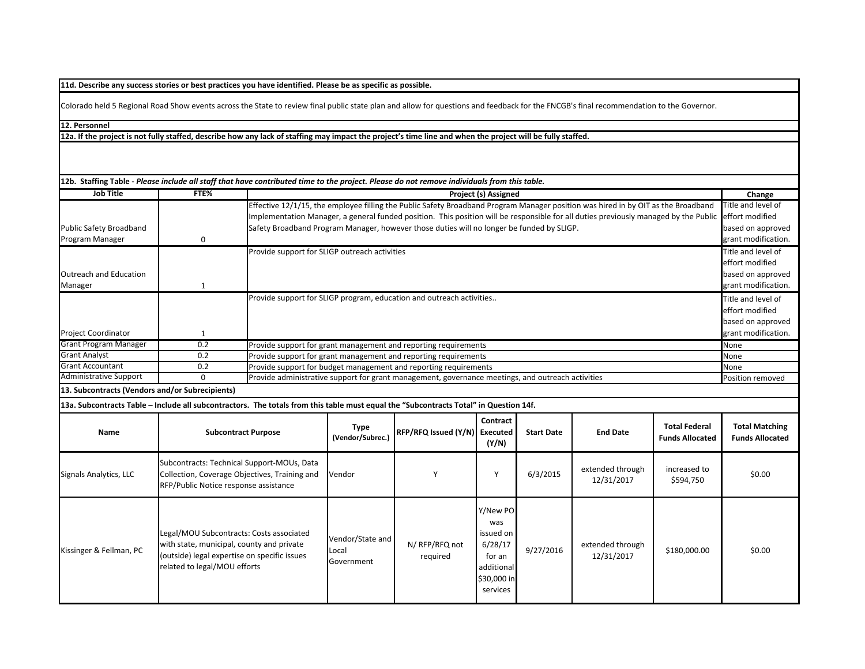**11d. Describe any success stories or best practices you have identified. Please be as specific as possible.**

Colorado held 5 Regional Road Show events across the State to review final public state plan and allow for questions and feedback for the FNCGB's final recommendation to the Governor.

**12. Personnel** 

**12a. If the project is not fully staffed, describe how any lack of staffing may impact the project's time line and when the project will be fully staffed.**

| 12b. Staffing Table - Please include all staff that have contributed time to the project. Please do not remove individuals from this table. |                                                                           |                                                                                             |                                                                                                                                                           |                                                                                                                                                      |                                                                                            |                   |                                |                                                | Change                                          |  |  |
|---------------------------------------------------------------------------------------------------------------------------------------------|---------------------------------------------------------------------------|---------------------------------------------------------------------------------------------|-----------------------------------------------------------------------------------------------------------------------------------------------------------|------------------------------------------------------------------------------------------------------------------------------------------------------|--------------------------------------------------------------------------------------------|-------------------|--------------------------------|------------------------------------------------|-------------------------------------------------|--|--|
| <b>Job Title</b>                                                                                                                            | FTE%                                                                      |                                                                                             | Project (s) Assigned<br>Effective 12/1/15, the employee filling the Public Safety Broadband Program Manager position was hired in by OIT as the Broadband |                                                                                                                                                      |                                                                                            |                   |                                |                                                |                                                 |  |  |
|                                                                                                                                             |                                                                           |                                                                                             |                                                                                                                                                           | Implementation Manager, a general funded position. This position will be responsible for all duties previously managed by the Public effort modified |                                                                                            |                   |                                |                                                | Title and level of                              |  |  |
| Public Safety Broadband                                                                                                                     |                                                                           |                                                                                             |                                                                                                                                                           | Safety Broadband Program Manager, however those duties will no longer be funded by SLIGP.                                                            |                                                                                            |                   |                                |                                                | based on approved                               |  |  |
| Program Manager                                                                                                                             | 0                                                                         |                                                                                             | grant modification.                                                                                                                                       |                                                                                                                                                      |                                                                                            |                   |                                |                                                |                                                 |  |  |
|                                                                                                                                             |                                                                           |                                                                                             | Provide support for SLIGP outreach activities                                                                                                             |                                                                                                                                                      |                                                                                            |                   |                                |                                                |                                                 |  |  |
|                                                                                                                                             |                                                                           |                                                                                             |                                                                                                                                                           |                                                                                                                                                      |                                                                                            |                   |                                |                                                | effort modified                                 |  |  |
| <b>Outreach and Education</b>                                                                                                               |                                                                           |                                                                                             | based on approved                                                                                                                                         |                                                                                                                                                      |                                                                                            |                   |                                |                                                |                                                 |  |  |
| Manager                                                                                                                                     | $\mathbf{1}$                                                              |                                                                                             |                                                                                                                                                           |                                                                                                                                                      |                                                                                            |                   |                                |                                                | grant modification.                             |  |  |
|                                                                                                                                             |                                                                           |                                                                                             |                                                                                                                                                           | Provide support for SLIGP program, education and outreach activities                                                                                 |                                                                                            |                   |                                |                                                | Title and level of                              |  |  |
|                                                                                                                                             |                                                                           |                                                                                             |                                                                                                                                                           |                                                                                                                                                      |                                                                                            |                   |                                |                                                | effort modified                                 |  |  |
|                                                                                                                                             |                                                                           |                                                                                             |                                                                                                                                                           |                                                                                                                                                      |                                                                                            |                   |                                |                                                | based on approved                               |  |  |
| <b>Project Coordinator</b>                                                                                                                  | 1                                                                         |                                                                                             |                                                                                                                                                           |                                                                                                                                                      |                                                                                            |                   |                                |                                                | grant modification.                             |  |  |
| <b>Grant Program Manager</b>                                                                                                                | 0.2                                                                       |                                                                                             |                                                                                                                                                           | Provide support for grant management and reporting requirements                                                                                      |                                                                                            |                   |                                |                                                | None                                            |  |  |
| <b>Grant Analyst</b>                                                                                                                        | 0.2                                                                       |                                                                                             |                                                                                                                                                           | Provide support for grant management and reporting requirements                                                                                      |                                                                                            |                   |                                |                                                | None                                            |  |  |
| <b>Grant Accountant</b>                                                                                                                     | 0.2                                                                       |                                                                                             | Provide support for budget management and reporting requirements<br>None                                                                                  |                                                                                                                                                      |                                                                                            |                   |                                |                                                |                                                 |  |  |
| <b>Administrative Support</b>                                                                                                               | $\mathbf 0$                                                               |                                                                                             | Provide administrative support for grant management, governance meetings, and outreach activities<br>Position removed                                     |                                                                                                                                                      |                                                                                            |                   |                                |                                                |                                                 |  |  |
| 13. Subcontracts (Vendors and/or Subrecipients)                                                                                             |                                                                           |                                                                                             |                                                                                                                                                           |                                                                                                                                                      |                                                                                            |                   |                                |                                                |                                                 |  |  |
| 13a. Subcontracts Table - Include all subcontractors. The totals from this table must equal the "Subcontracts Total" in Question 14f.       |                                                                           |                                                                                             |                                                                                                                                                           |                                                                                                                                                      |                                                                                            |                   |                                |                                                |                                                 |  |  |
| Name                                                                                                                                        |                                                                           | <b>Subcontract Purpose</b>                                                                  | <b>Type</b><br>(Vendor/Subrec.)                                                                                                                           | RFP/RFQ Issued (Y/N) Executed                                                                                                                        | Contract<br>(Y/N)                                                                          | <b>Start Date</b> | <b>End Date</b>                | <b>Total Federal</b><br><b>Funds Allocated</b> | <b>Total Matching</b><br><b>Funds Allocated</b> |  |  |
| Signals Analytics, LLC                                                                                                                      | RFP/Public Notice response assistance                                     | Subcontracts: Technical Support-MOUs, Data<br>Collection, Coverage Objectives, Training and | Vendor                                                                                                                                                    | Υ                                                                                                                                                    | Y                                                                                          | 6/3/2015          | extended through<br>12/31/2017 | increased to<br>\$594,750                      | \$0.00                                          |  |  |
| Kissinger & Fellman, PC                                                                                                                     | with state, municipal, county and private<br>related to legal/MOU efforts | Legal/MOU Subcontracts: Costs associated<br>(outside) legal expertise on specific issues    | Vendor/State and<br>Local<br>Government                                                                                                                   | N/ RFP/RFQ not<br>required                                                                                                                           | Y/New PO<br>was<br>issued on<br>6/28/17<br>for an<br>additional<br>\$30,000 in<br>services | 9/27/2016         | extended through<br>12/31/2017 | \$180,000.00                                   | \$0.00                                          |  |  |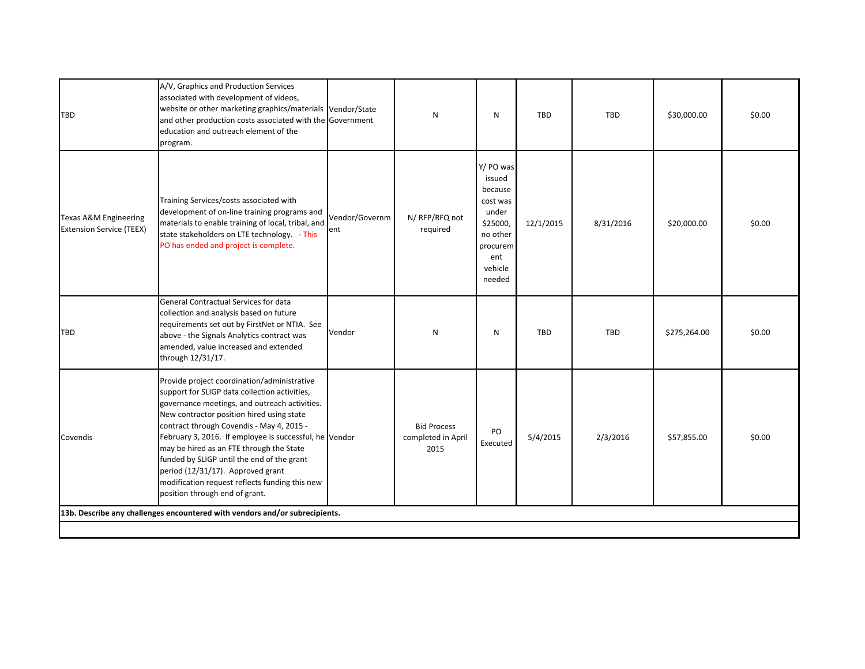| TBD                                                                 | A/V, Graphics and Production Services<br>associated with development of videos,<br>website or other marketing graphics/materials Vendor/State<br>and other production costs associated with the Government<br>education and outreach element of the<br>program.                                                                                                                                                                                                                                                      |                       | N                                                | N                                                                                                                   | <b>TBD</b> | TBD       | \$30,000.00  | \$0.00 |  |
|---------------------------------------------------------------------|----------------------------------------------------------------------------------------------------------------------------------------------------------------------------------------------------------------------------------------------------------------------------------------------------------------------------------------------------------------------------------------------------------------------------------------------------------------------------------------------------------------------|-----------------------|--------------------------------------------------|---------------------------------------------------------------------------------------------------------------------|------------|-----------|--------------|--------|--|
| <b>Texas A&amp;M Engineering</b><br><b>Extension Service (TEEX)</b> | Training Services/costs associated with<br>development of on-line training programs and<br>materials to enable training of local, tribal, and<br>state stakeholders on LTE technology. - This<br>PO has ended and project is complete.                                                                                                                                                                                                                                                                               | Vendor/Governm<br>ent | N/ RFP/RFQ not<br>required                       | Y/ PO was<br>issued<br>because<br>cost was<br>under<br>\$25000,<br>no other<br>procurem<br>ent<br>vehicle<br>needed | 12/1/2015  | 8/31/2016 | \$20,000.00  | \$0.00 |  |
| <b>TBD</b>                                                          | General Contractual Services for data<br>collection and analysis based on future<br>requirements set out by FirstNet or NTIA. See<br>above - the Signals Analytics contract was<br>amended, value increased and extended<br>through 12/31/17.                                                                                                                                                                                                                                                                        | Vendor                | N                                                | ${\sf N}$                                                                                                           | <b>TBD</b> | TBD       | \$275,264.00 | \$0.00 |  |
| Covendis                                                            | Provide project coordination/administrative<br>support for SLIGP data collection activities,<br>governance meetings, and outreach activities.<br>New contractor position hired using state<br>contract through Covendis - May 4, 2015 -<br>February 3, 2016. If employee is successful, he Vendor<br>may be hired as an FTE through the State<br>funded by SLIGP until the end of the grant<br>period (12/31/17). Approved grant<br>modification request reflects funding this new<br>position through end of grant. |                       | <b>Bid Process</b><br>completed in April<br>2015 | PO<br>Executed                                                                                                      | 5/4/2015   | 2/3/2016  | \$57,855.00  | \$0.00 |  |
|                                                                     | 13b. Describe any challenges encountered with vendors and/or subrecipients.                                                                                                                                                                                                                                                                                                                                                                                                                                          |                       |                                                  |                                                                                                                     |            |           |              |        |  |
|                                                                     |                                                                                                                                                                                                                                                                                                                                                                                                                                                                                                                      |                       |                                                  |                                                                                                                     |            |           |              |        |  |